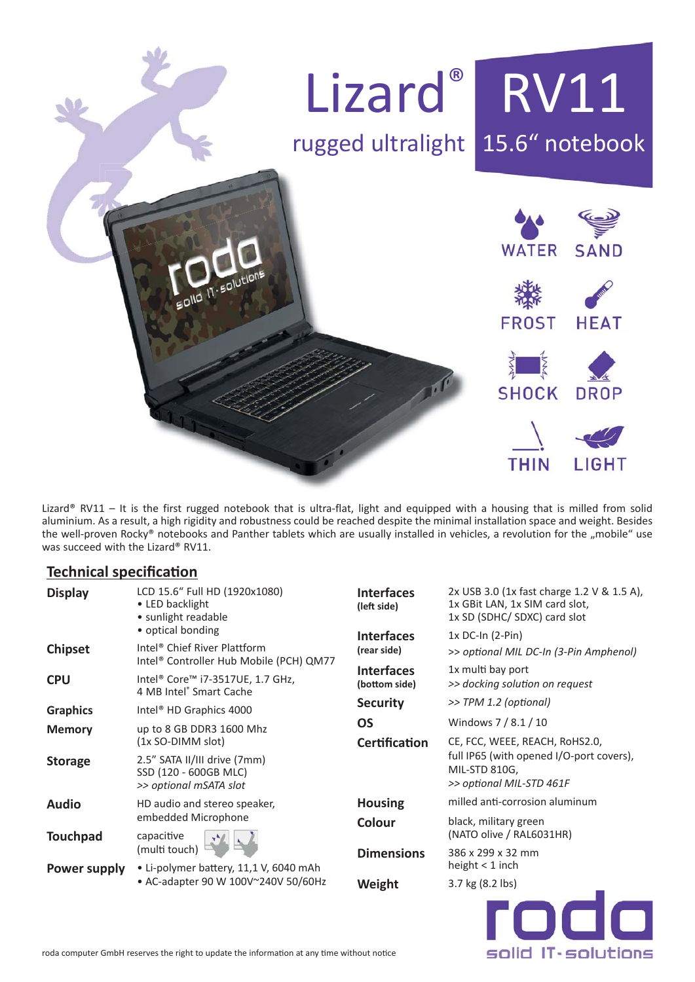

Lizard® RV11 – It is the first rugged notebook that is ultra-flat, light and equipped with a housing that is milled from solid aluminium. As a result, a high rigidity and robustness could be reached despite the minimal installation space and weight. Besides the well-proven Rocky® notebooks and Panther tablets which are usually installed in vehicles, a revolution for the "mobile" use was succeed with the Lizard® RV11.

### **Technical specification**

| <b>Display</b>  | LCD 15.6" Full HD (1920x1080)<br>• LED backlight<br>• sunlight readable                                  | <b>Interfaces</b><br>(left side)   | 2x USB 3.0 (1x fast charge 1.2 V & 1.5 A),<br>1x GBit LAN, 1x SIM card slot,<br>1x SD (SDHC/ SDXC) card slot<br>$1x$ DC-In $(2-Pin)$<br>>> optional MIL DC-In (3-Pin Amphenol)<br>1x multi bay port<br>>> docking solution on request<br>>> TPM 1.2 (optional) |  |  |
|-----------------|----------------------------------------------------------------------------------------------------------|------------------------------------|----------------------------------------------------------------------------------------------------------------------------------------------------------------------------------------------------------------------------------------------------------------|--|--|
| <b>Chipset</b>  | • optical bonding<br>Intel <sup>®</sup> Chief River Plattform<br>Intel® Controller Hub Mobile (PCH) QM77 | <b>Interfaces</b><br>(rear side)   |                                                                                                                                                                                                                                                                |  |  |
| <b>CPU</b>      | Intel <sup>®</sup> Core <sup>™</sup> i7-3517UE, 1.7 GHz,<br>4 MB Intel® Smart Cache                      | <b>Interfaces</b><br>(bottom side) |                                                                                                                                                                                                                                                                |  |  |
| <b>Graphics</b> | Intel <sup>®</sup> HD Graphics 4000                                                                      | <b>Security</b>                    |                                                                                                                                                                                                                                                                |  |  |
| <b>Memory</b>   | up to 8 GB DDR3 1600 Mhz<br>(1x SO-DIMM slot)                                                            | <b>OS</b>                          | Windows 7 / 8.1 / 10                                                                                                                                                                                                                                           |  |  |
|                 |                                                                                                          | <b>Certification</b>               | CE, FCC, WEEE, REACH, RoHS2.0,                                                                                                                                                                                                                                 |  |  |
| <b>Storage</b>  | 2.5" SATA II/III drive (7mm)<br>SSD (120 - 600GB MLC)<br>>> optional mSATA slot                          |                                    | full IP65 (with opened I/O-port covers),<br>MIL-STD 810G,<br>>> optional MIL-STD 461F                                                                                                                                                                          |  |  |
| <b>Audio</b>    | HD audio and stereo speaker,<br>embedded Microphone<br>capacitive<br>(multi touch)                       | <b>Housing</b>                     | milled anti-corrosion aluminum                                                                                                                                                                                                                                 |  |  |
| <b>Touchpad</b> |                                                                                                          | Colour                             | black, military green<br>(NATO olive / RAL6031HR)                                                                                                                                                                                                              |  |  |
|                 |                                                                                                          | <b>Dimensions</b>                  | 386 x 299 x 32 mm                                                                                                                                                                                                                                              |  |  |
| Power supply    | • Li-polymer battery, 11,1 V, 6040 mAh<br>• AC-adapter 90 W 100V~240V 50/60Hz                            |                                    | height $<$ 1 inch                                                                                                                                                                                                                                              |  |  |
|                 |                                                                                                          | Weight                             | 3.7 kg (8.2 lbs)                                                                                                                                                                                                                                               |  |  |